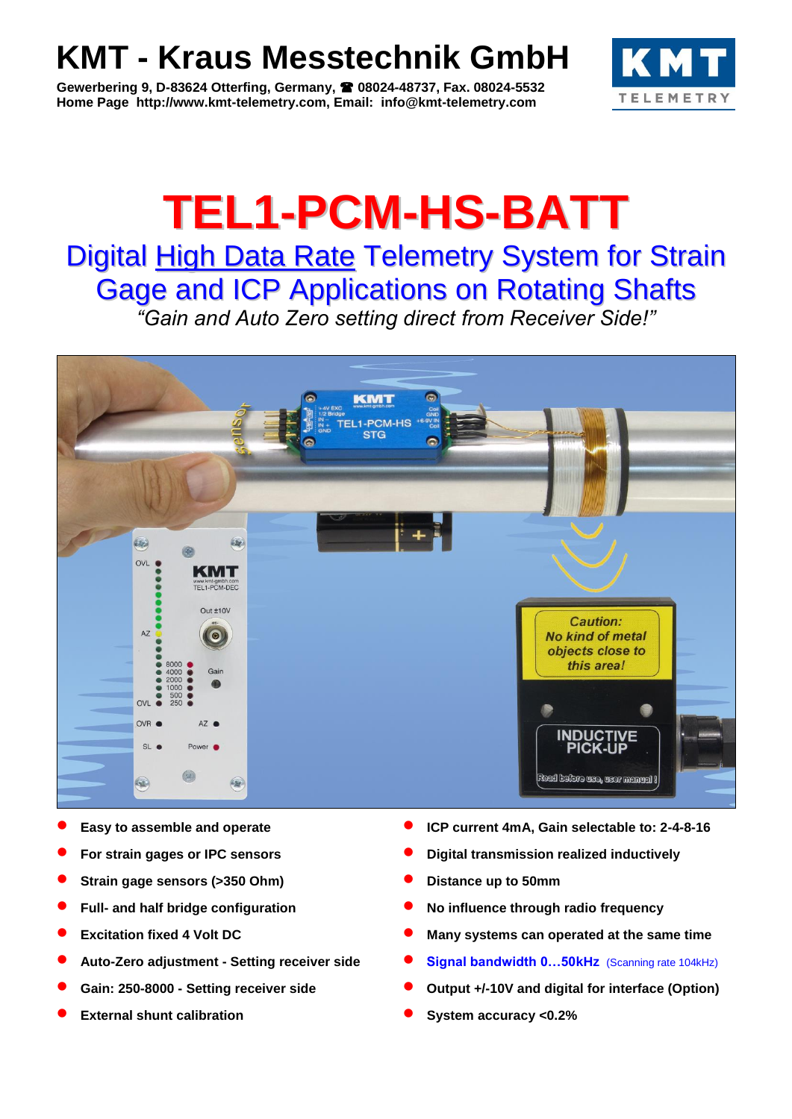# **KMT - Kraus Messtechnik GmbH**

**Gewerbering 9, D-83624 Otterfing, Germany, 08024-48737, Fax. 08024-5532 Home Page http://www.kmt-telemetry.com, Email: info@kmt-telemetry.com**



# **TEL1-PCM-HS-BATT**

## Digital High Data Rate Telemetry System for Strain Gage and ICP Applications on Rotating Shafts

*"Gain and Auto Zero setting direct from Receiver Side!"*



- 
- 
- **Strain gage sensors (>350 Ohm) Distance up to 50mm**
- 
- 
- 
- 
- 
- **Easy to assemble and operate <b>ICP ICP** current 4mA, Gain selectable to: 2-4-8-16
- **For strain gages or IPC sensors <b>by Equation** Digital transmission realized inductively
	-
- **Full-** and half bridge configuration **COLO CONFINGUARY CONFIGURATION** No influence through radio frequency
- **Excitation fixed 4 Volt DC 1988 10 CONSTANDING Many systems can operated at the same time**
- **Auto-Zero adjustment - Setting receiver side Signal bandwidth 0…50kHz** (Scanning rate 104kHz)
- **Gain: 250-8000 - Setting receiver side Output +/-10V and digital for interface (Option)**
- **External shunt calibration 1997 CONSISTENT CONSISTENT CONSISTENT CONSISTENT CONSISTENT CONSISTENT CONSISTENT CONSISTENT CONSISTENT CONSISTENT CONSISTENT CONSISTENT CONSISTENT CONSISTENT CONSI**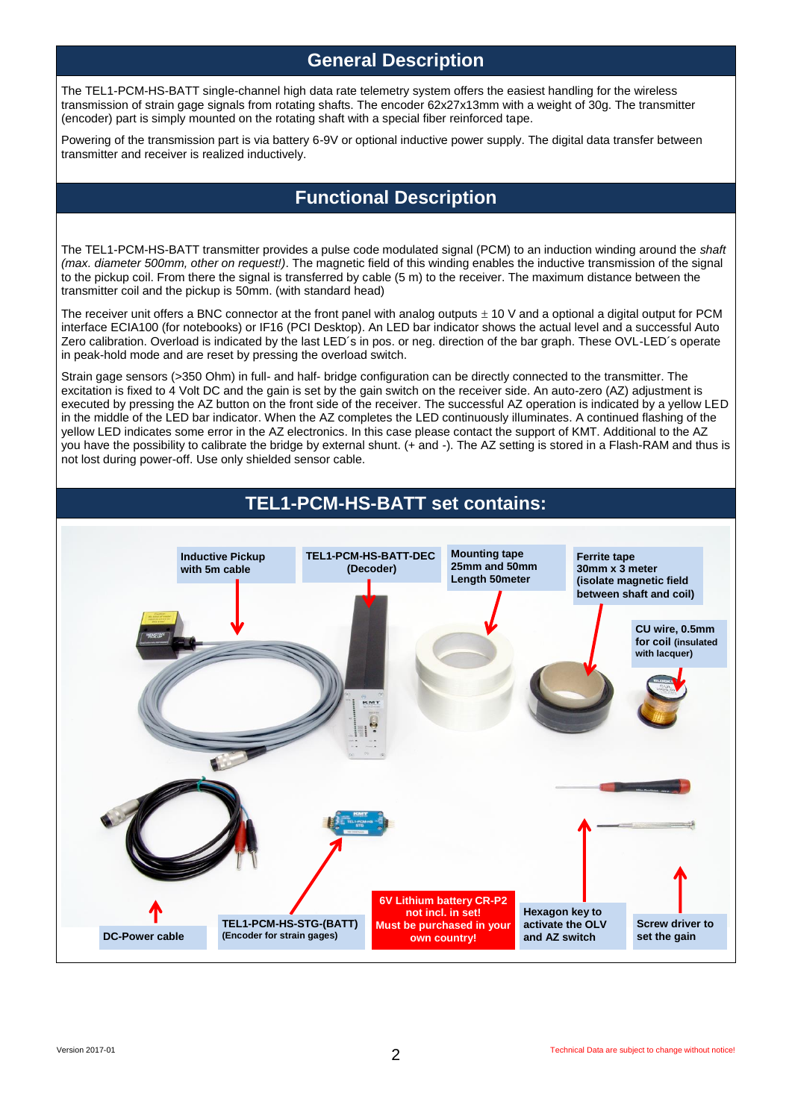#### **General Description**

The TEL1-PCM-HS-BATT single-channel high data rate telemetry system offers the easiest handling for the wireless transmission of strain gage signals from rotating shafts. The encoder 62x27x13mm with a weight of 30g. The transmitter (encoder) part is simply mounted on the rotating shaft with a special fiber reinforced tape.

Powering of the transmission part is via battery 6-9V or optional inductive power supply. The digital data transfer between transmitter and receiver is realized inductively.

### **Functional Description**

The TEL1-PCM-HS-BATT transmitter provides a pulse code modulated signal (PCM) to an induction winding around the *shaft (max. diameter 500mm, other on request!)*. The magnetic field of this winding enables the inductive transmission of the signal to the pickup coil. From there the signal is transferred by cable (5 m) to the receiver. The maximum distance between the transmitter coil and the pickup is 50mm. (with standard head)

The receiver unit offers a BNC connector at the front panel with analog outputs  $\pm$  10 V and a optional a digital output for PCM interface ECIA100 (for notebooks) or IF16 (PCI Desktop). An LED bar indicator shows the actual level and a successful Auto Zero calibration. Overload is indicated by the last LED´s in pos. or neg. direction of the bar graph. These OVL-LED´s operate in peak-hold mode and are reset by pressing the overload switch.

Strain gage sensors (>350 Ohm) in full- and half- bridge configuration can be directly connected to the transmitter. The excitation is fixed to 4 Volt DC and the gain is set by the gain switch on the receiver side. An auto-zero (AZ) adjustment is executed by pressing the AZ button on the front side of the receiver. The successful AZ operation is indicated by a yellow LED in the middle of the LED bar indicator. When the AZ completes the LED continuously illuminates. A continued flashing of the yellow LED indicates some error in the AZ electronics. In this case please contact the support of KMT. Additional to the AZ you have the possibility to calibrate the bridge by external shunt. (+ and -). The AZ setting is stored in a Flash-RAM and thus is not lost during power-off. Use only shielded sensor cable.

## **TEL1-PCM-HS-BATT set contains:**

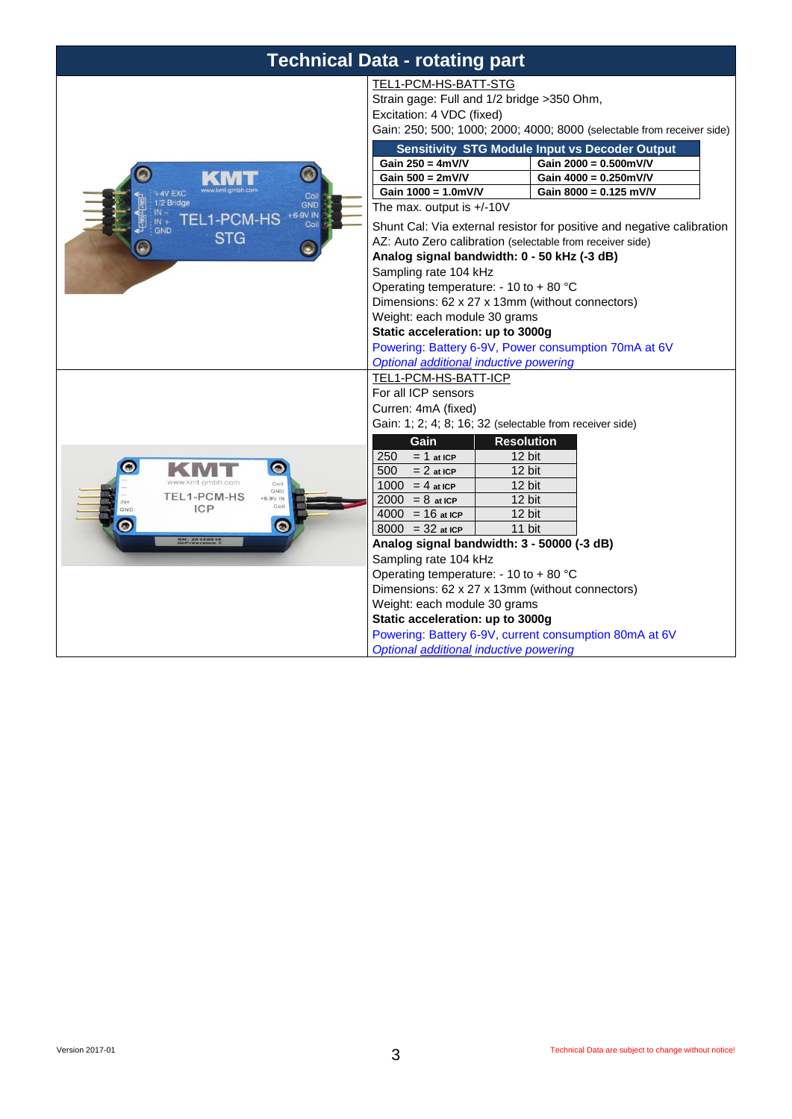| <b>Technical Data - rotating part</b>                                                                                                     |                                                                                                                                                                                                                                                                                                                                                                                                                                                                                                                                                                                                                                                                                                                   |                                                                                                                                                                                                             |
|-------------------------------------------------------------------------------------------------------------------------------------------|-------------------------------------------------------------------------------------------------------------------------------------------------------------------------------------------------------------------------------------------------------------------------------------------------------------------------------------------------------------------------------------------------------------------------------------------------------------------------------------------------------------------------------------------------------------------------------------------------------------------------------------------------------------------------------------------------------------------|-------------------------------------------------------------------------------------------------------------------------------------------------------------------------------------------------------------|
| $\odot$<br><b>AV EXC</b><br>Coil<br>2 Bridge<br><b>GND</b><br>+6-9V IN<br><b>EL1-PCM-HS</b><br>Coil<br>GND<br><b>STG</b>                  | TEL1-PCM-HS-BATT-STG<br>Strain gage: Full and 1/2 bridge >350 Ohm,<br>Excitation: 4 VDC (fixed)<br>Gain: 250; 500; 1000; 2000; 4000; 8000 (selectable from receiver side)                                                                                                                                                                                                                                                                                                                                                                                                                                                                                                                                         |                                                                                                                                                                                                             |
|                                                                                                                                           | Gain $250 = 4mV/V$<br>Gain $500 = 2mV/V$<br>Gain $1000 = 1.0$ mV/V<br>The max. output is $+/-10V$<br>AZ: Auto Zero calibration (selectable from receiver side)<br>Analog signal bandwidth: 0 - 50 kHz (-3 dB)<br>Sampling rate 104 kHz<br>Operating temperature: - 10 to + 80 °C<br>Dimensions: 62 x 27 x 13mm (without connectors)<br>Weight: each module 30 grams<br>Static acceleration: up to 3000g<br>Powering: Battery 6-9V, Power consumption 70mA at 6V<br>Optional additional inductive powering                                                                                                                                                                                                         | <b>Sensitivity STG Module Input vs Decoder Output</b><br>Gain 2000 = 0.500mV/V<br>Gain 4000 = 0.250mV/V<br>Gain 8000 = 0.125 mV/V<br>Shunt Cal: Via external resistor for positive and negative calibration |
| $\bullet$<br>Coil<br>GND<br>TEL1-PCM-HS<br>+6-9V IN<br>Coi<br><b>ICP</b><br>$\bullet$<br>$\omega$<br><b>SN: 20120515</b><br>ICP-Version 1 | TEL1-PCM-HS-BATT-ICP<br>For all ICP sensors<br>Curren: 4mA (fixed)<br>Gain: 1; 2; 4; 8; 16; 32 (selectable from receiver side)<br>Gain<br><b>Resolution</b><br>$= 1$ at ICP<br>250<br>12 bit<br>500<br>$= 2$ at ICP<br>12 bit<br>$12 \text{ bit}$<br>$1000 = 4$ at ICP<br>12 bit<br>$2000 = 8$ at ICP<br>$4000 = 16$ at ICP<br>12 bit<br>$8000 = 32$ at ICP<br>11 bit<br>Analog signal bandwidth: 3 - 50000 (-3 dB)<br>Sampling rate 104 kHz<br>Operating temperature: - 10 to + 80 °C<br>Dimensions: 62 x 27 x 13mm (without connectors)<br>Weight: each module 30 grams<br>Static acceleration: up to 3000g<br>Powering: Battery 6-9V, current consumption 80mA at 6V<br>Optional additional inductive powering |                                                                                                                                                                                                             |